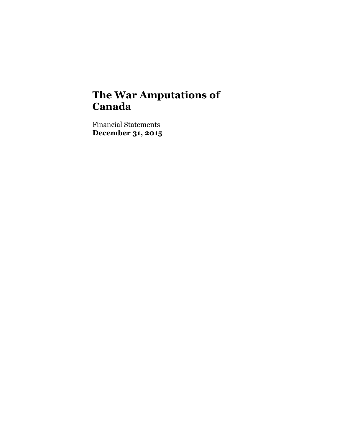Financial Statements **December 31, 2015**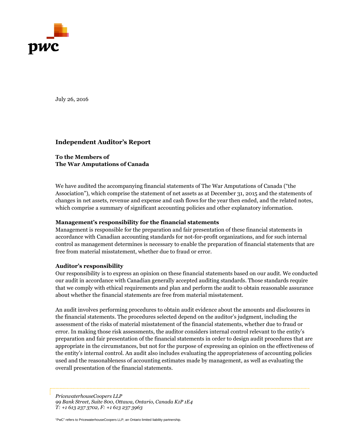

July 26, 2016

### **Independent Auditor's Report**

**To the Members of The War Amputations of Canada**

We have audited the accompanying financial statements of The War Amputations of Canada ("the Association"), which comprise the statement of net assets as at December 31, 2015 and the statements of changes in net assets, revenue and expense and cash flows for the year then ended, and the related notes, which comprise a summary of significant accounting policies and other explanatory information.

#### **Management's responsibility for the financial statements**

Management is responsible for the preparation and fair presentation of these financial statements in accordance with Canadian accounting standards for not-for-profit organizations, and for such internal control as management determines is necessary to enable the preparation of financial statements that are free from material misstatement, whether due to fraud or error.

#### **Auditor's responsibility**

Our responsibility is to express an opinion on these financial statements based on our audit. We conducted our audit in accordance with Canadian generally accepted auditing standards. Those standards require that we comply with ethical requirements and plan and perform the audit to obtain reasonable assurance about whether the financial statements are free from material misstatement.

An audit involves performing procedures to obtain audit evidence about the amounts and disclosures in the financial statements. The procedures selected depend on the auditor's judgment, including the assessment of the risks of material misstatement of the financial statements, whether due to fraud or error. In making those risk assessments, the auditor considers internal control relevant to the entity's preparation and fair presentation of the financial statements in order to design audit procedures that are appropriate in the circumstances, but not for the purpose of expressing an opinion on the effectiveness of the entity's internal control. An audit also includes evaluating the appropriateness of accounting policies used and the reasonableness of accounting estimates made by management, as well as evaluating the overall presentation of the financial statements.

*PricewaterhouseCoopers LLP 99 Bank Street, Suite 800, Ottawa, Ontario, Canada K1P 1E4 T: +1 613 237 3702, F: +1 613 237 3963*

"PwC" refers to PricewaterhouseCoopers LLP, an Ontario limited liability partnership.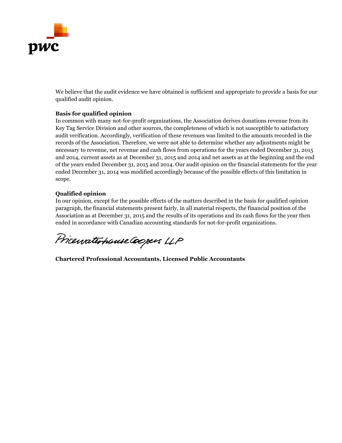

We believe that the audit evidence we have obtained is sufficient and appropriate to provide a basis for our qualified audit opinion.

### **Basis for qualified opinion**

In common with many not-for-profit organizations, the Association derives donations revenue from its Key Tag Service Division and other sources, the completeness of which is not susceptible to satisfactory audit verification. Accordingly, verification of these revenues was limited to the amounts recorded in the records of the Association. Therefore, we were not able to determine whether any adjustments might be necessary to revenue, net revenue and cash flows from operations for the years ended December 31, 2015 and 2014, current assets as at December 31, 2015 and 2014 and net assets as at the beginning and the end of the years ended December 31, 2015 and 2014. Our audit opinion on the financial statements for the year ended December 31, 2014 was modified accordingly because of the possible effects of this limitation in scope.

#### **Qualified opinion**

In our opinion, except for the possible effects of the matters described in the basis for qualified opinion paragraph, the financial statements present fairly, in all material respects, the financial position of the Association as at December 31, 2015 and the results of its operations and its cash flows for the year then ended in accordance with Canadian accounting standards for not-for-profit organizations.

Pricewaterhouse Coopers LLP

**Chartered Professional Accountants, Licensed Public Accountants**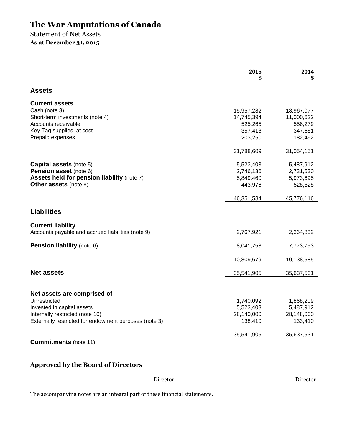Statement of Net Assets **As at December 31, 2015**

|                                                                                                                                                   | 2015                                                      | 2014<br>S                                                 |
|---------------------------------------------------------------------------------------------------------------------------------------------------|-----------------------------------------------------------|-----------------------------------------------------------|
| <b>Assets</b>                                                                                                                                     |                                                           |                                                           |
| <b>Current assets</b><br>Cash (note 3)<br>Short-term investments (note 4)<br>Accounts receivable<br>Key Tag supplies, at cost<br>Prepaid expenses | 15,957,282<br>14,745,394<br>525,265<br>357,418<br>203,250 | 18,967,077<br>11,000,622<br>556,279<br>347,681<br>182,492 |
|                                                                                                                                                   | 31,788,609                                                | 31,054,151                                                |
| <b>Capital assets (note 5)</b><br>Pension asset (note 6)<br>Assets held for pension liability (note 7)<br><b>Other assets (note 8)</b>            | 5,523,403<br>2,746,136<br>5,849,460<br>443,976            | 5,487,912<br>2,731,530<br>5,973,695<br>528,828            |
|                                                                                                                                                   | 46,351,584                                                | 45,776,116                                                |
| <b>Liabilities</b>                                                                                                                                |                                                           |                                                           |
| <b>Current liability</b><br>Accounts payable and accrued liabilities (note 9)                                                                     | 2,767,921                                                 | 2,364,832                                                 |
| <b>Pension liability (note 6)</b>                                                                                                                 | 8,041,758                                                 | 7,773,753                                                 |
|                                                                                                                                                   | 10,809,679                                                | 10,138,585                                                |
| <b>Net assets</b>                                                                                                                                 | 35,541,905                                                | 35,637,531                                                |
| Net assets are comprised of -                                                                                                                     |                                                           |                                                           |
| Unrestricted<br>Invested in capital assets<br>Internally restricted (note 10)<br>Externally restricted for endowment purposes (note 3)            | 1,740,092<br>5,523,403<br>28,140,000<br>138,410           | 1,868,209<br>5,487,912<br>28,148,000<br>133,410           |
|                                                                                                                                                   | 35,541,905                                                | 35,637,531                                                |
| <b>Commitments</b> (note 11)                                                                                                                      |                                                           |                                                           |

# **Approved by the Board of Directors**

| ---<br>nrec<br>ונ זי<br>. |  |
|---------------------------|--|
|                           |  |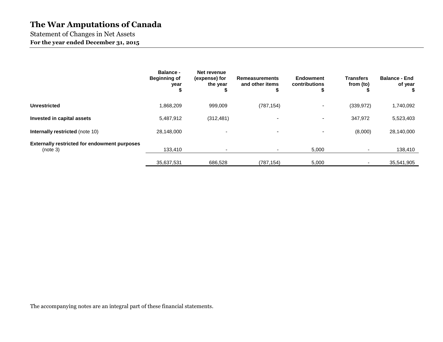Statement of Changes in Net Assets **For the year ended December 31, 2015**

|                                                                 | <b>Balance -</b><br><b>Beginning of</b><br>year<br>¢ | Net revenue<br>(expense) for<br>the year<br>э | <b>Remeasurements</b><br>and other items<br>จ | Endowment<br>contributions<br>æ | <b>Transfers</b><br>from (to) | <b>Balance - End</b><br>of year |
|-----------------------------------------------------------------|------------------------------------------------------|-----------------------------------------------|-----------------------------------------------|---------------------------------|-------------------------------|---------------------------------|
| <b>Unrestricted</b>                                             | 1.868.209                                            | 999,009                                       | (787, 154)                                    | $\sim$                          | (339, 972)                    | 1,740,092                       |
| Invested in capital assets                                      | 5,487,912                                            | (312, 481)                                    |                                               | ۰                               | 347,972                       | 5,523,403                       |
| <b>Internally restricted</b> (note 10)                          | 28,148,000                                           | $\overline{\phantom{0}}$                      | $\overline{\phantom{a}}$                      | ۰                               | (8,000)                       | 28,140,000                      |
| <b>Externally restricted for endowment purposes</b><br>(note 3) | 133,410                                              |                                               |                                               | 5,000                           |                               | 138,410                         |
|                                                                 | 35,637,531                                           | 686,528                                       | (787, 154)                                    | 5,000                           |                               | 35,541,905                      |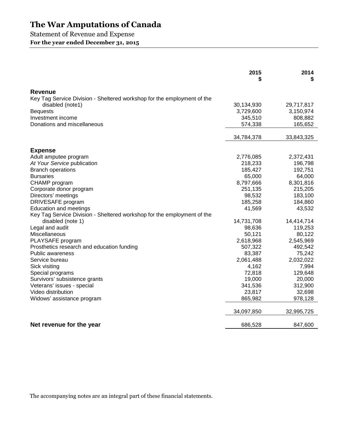Statement of Revenue and Expense

**For the year ended December 31, 2015**

|                                                                         | 2015       | 2014<br>S  |
|-------------------------------------------------------------------------|------------|------------|
| <b>Revenue</b>                                                          |            |            |
| Key Tag Service Division - Sheltered workshop for the employment of the |            |            |
| disabled (note1)                                                        | 30,134,930 | 29,717,817 |
| <b>Bequests</b>                                                         | 3,729,600  | 3,150,974  |
| Investment income                                                       | 345,510    | 808,882    |
| Donations and miscellaneous                                             | 574,338    | 165,652    |
|                                                                         |            |            |
|                                                                         | 34,784,378 | 33,843,325 |
| <b>Expense</b>                                                          |            |            |
| Adult amputee program                                                   | 2,776,085  | 2,372,431  |
| At Your Service publication                                             | 218,233    | 196,798    |
| <b>Branch operations</b>                                                | 185,427    | 192,751    |
| <b>Bursaries</b>                                                        | 65,000     | 64,000     |
| CHAMP program                                                           | 8,797,666  | 8,301,816  |
| Corporate donor program                                                 | 251,135    | 215,205    |
| Directors' meetings                                                     | 98,532     | 183,100    |
| DRIVESAFE program                                                       | 185,258    | 184,860    |
| <b>Education and meetings</b>                                           | 41,569     | 43,532     |
| Key Tag Service Division - Sheltered workshop for the employment of the |            |            |
| disabled (note 1)                                                       | 14,731,708 | 14,414,714 |
| Legal and audit                                                         | 98,636     | 119,253    |
| Miscellaneous                                                           | 50,121     | 80,122     |
| PLAYSAFE program                                                        | 2,618,968  | 2,545,969  |
| Prosthetics research and education funding                              | 507,322    | 492,542    |
| Public awareness                                                        | 83,387     | 75,242     |
| Service bureau                                                          | 2,061,488  | 2,032,022  |
| Sick visiting                                                           | 4,162      | 7,994      |
| Special programs                                                        | 72,818     | 129,648    |
| Survivors' subsistence grants                                           | 19,000     | 20,000     |
| Veterans' issues - special                                              | 341,536    | 312,900    |
| Video distribution                                                      | 23,817     | 32,698     |
| Widows' assistance program                                              | 865,982    | 978,128    |
|                                                                         | 34,097,850 | 32,995,725 |
| Net revenue for the year                                                | 686,528    | 847,600    |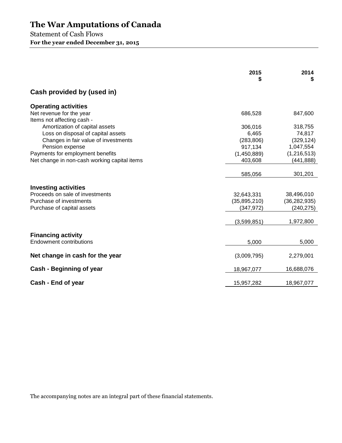Statement of Cash Flows **For the year ended December 31, 2015**

|                                                                | 2015         | 2014<br>S      |
|----------------------------------------------------------------|--------------|----------------|
| Cash provided by (used in)                                     |              |                |
| <b>Operating activities</b>                                    |              |                |
| Net revenue for the year                                       | 686,528      | 847,600        |
| Items not affecting cash -<br>Amortization of capital assets   | 306,016      | 318,755        |
| Loss on disposal of capital assets                             | 6,465        | 74,817         |
| Changes in fair value of investments                           | (283, 806)   | (329, 124)     |
| Pension expense                                                | 917,134      | 1,047,554      |
| Payments for employment benefits                               | (1,450,889)  | (1,216,513)    |
| Net change in non-cash working capital items                   | 403,608      | (441, 888)     |
|                                                                |              |                |
|                                                                | 585,056      | 301,201        |
|                                                                |              |                |
| <b>Investing activities</b><br>Proceeds on sale of investments | 32,643,331   | 38,496,010     |
| Purchase of investments                                        | (35,895,210) | (36, 282, 935) |
| Purchase of capital assets                                     | (347, 972)   | (240, 275)     |
|                                                                |              |                |
|                                                                | (3,599,851)  | 1,972,800      |
|                                                                |              |                |
| <b>Financing activity</b>                                      |              |                |
| <b>Endowment contributions</b>                                 | 5,000        | 5,000          |
| Net change in cash for the year                                | (3,009,795)  | 2,279,001      |
| Cash - Beginning of year                                       | 18,967,077   | 16,688,076     |
| Cash - End of year                                             | 15,957,282   | 18,967,077     |
|                                                                |              |                |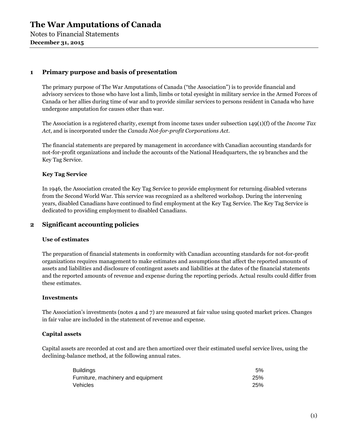### **1 Primary purpose and basis of presentation**

The primary purpose of The War Amputations of Canada ("the Association") is to provide financial and advisory services to those who have lost a limb, limbs or total eyesight in military service in the Armed Forces of Canada or her allies during time of war and to provide similar services to persons resident in Canada who have undergone amputation for causes other than war.

The Association is a registered charity, exempt from income taxes under subsection 149(1)(f) of the *Income Tax Act*, and is incorporated under the *Canada Not-for-profit Corporations Act.*

The financial statements are prepared by management in accordance with Canadian accounting standards for not-for-profit organizations and include the accounts of the National Headquarters, the 19 branches and the Key Tag Service.

#### **Key Tag Service**

In 1946, the Association created the Key Tag Service to provide employment for returning disabled veterans from the Second World War. This service was recognized as a sheltered workshop. During the intervening years, disabled Canadians have continued to find employment at the Key Tag Service. The Key Tag Service is dedicated to providing employment to disabled Canadians.

### **2 Significant accounting policies**

#### **Use of estimates**

The preparation of financial statements in conformity with Canadian accounting standards for not-for-profit organizations requires management to make estimates and assumptions that affect the reported amounts of assets and liabilities and disclosure of contingent assets and liabilities at the dates of the financial statements and the reported amounts of revenue and expense during the reporting periods. Actual results could differ from these estimates.

#### **Investments**

The Association's investments (notes 4 and 7) are measured at fair value using quoted market prices. Changes in fair value are included in the statement of revenue and expense.

#### **Capital assets**

Capital assets are recorded at cost and are then amortized over their estimated useful service lives, using the declining-balance method, at the following annual rates.

| <b>Buildings</b>                   | 5%  |
|------------------------------------|-----|
| Furniture, machinery and equipment | 25% |
| <b>Vehicles</b>                    | 25% |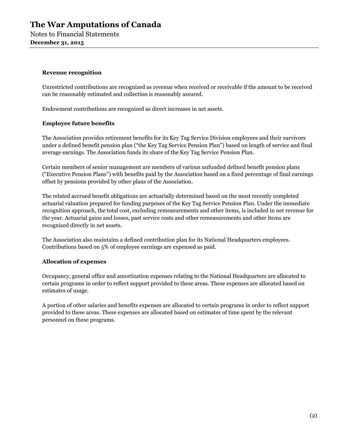Notes to Financial Statements **December 31, 2015**

### **Revenue recognition**

Unrestricted contributions are recognized as revenue when received or receivable if the amount to be received can be reasonably estimated and collection is reasonably assured.

Endowment contributions are recognized as direct increases in net assets.

## **Employee future benefits**

The Association provides retirement benefits for its Key Tag Service Division employees and their survivors under a defined benefit pension plan ("the Key Tag Service Pension Plan") based on length of service and final average earnings. The Association funds its share of the Key Tag Service Pension Plan.

Certain members of senior management are members of various unfunded defined benefit pension plans ("Executive Pension Plans") with benefits paid by the Association based on a fixed percentage of final earnings offset by pensions provided by other plans of the Association.

The related accrued benefit obligations are actuarially determined based on the most recently completed actuarial valuation prepared for funding purposes of the Key Tag Service Pension Plan. Under the immediate recognition approach, the total cost, excluding remeasurements and other items, is included in net revenue for the year. Actuarial gains and losses, past service costs and other remeasurements and other items are recognized directly in net assets.

The Association also maintains a defined contribution plan for its National Headquarters employees. Contributions based on 5% of employee earnings are expensed as paid.

## **Allocation of expenses**

Occupancy, general office and amortization expenses relating to the National Headquarters are allocated to certain programs in order to reflect support provided to these areas. These expenses are allocated based on estimates of usage.

A portion of other salaries and benefits expenses are allocated to certain programs in order to reflect support provided to these areas. These expenses are allocated based on estimates of time spent by the relevant personnel on these programs.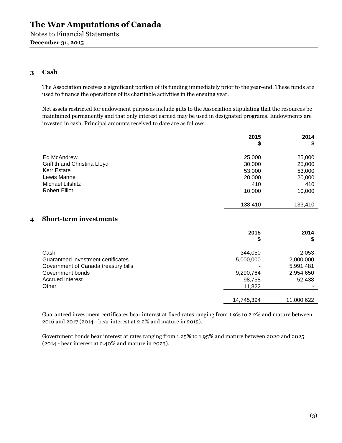Notes to Financial Statements **December 31, 2015**

### **3 Cash**

The Association receives a significant portion of its funding immediately prior to the year-end. These funds are used to finance the operations of its charitable activities in the ensuing year.

Net assets restricted for endowment purposes include gifts to the Association stipulating that the resources be maintained permanently and that only interest earned may be used in designated programs. Endowments are invested in cash. Principal amounts received to date are as follows.

|                              | 2015<br>\$ | 2014<br>\$ |
|------------------------------|------------|------------|
| Ed McAndrew                  | 25,000     | 25,000     |
| Griffith and Christina Lloyd | 30,000     | 25,000     |
| <b>Kerr Estate</b>           | 53,000     | 53,000     |
| Lewis Manne                  | 20,000     | 20,000     |
| Michael Lifshitz             | 410        | 410        |
| <b>Robert Elliot</b>         | 10,000     | 10,000     |
|                              | 138.410    | 133.410    |

## **4 Short-term investments**

|                                     | 2015<br>\$ | 2014<br>Φ  |
|-------------------------------------|------------|------------|
| Cash                                | 344,050    | 2,053      |
| Guaranteed investment certificates  | 5,000,000  | 2,000,000  |
| Government of Canada treasury bills |            | 5,991,481  |
| Government bonds                    | 9,290,764  | 2,954,650  |
| Accrued interest                    | 98,758     | 52,438     |
| Other                               | 11,822     |            |
|                                     | 14,745,394 | 11,000,622 |

Guaranteed investment certificates bear interest at fixed rates ranging from 1.9% to 2.2% and mature between 2016 and 2017 (2014 - bear interest at 2.2% and mature in 2015).

Government bonds bear interest at rates ranging from 1.25% to 1.95% and mature between 2020 and 2025 (2014 - bear interest at 2.40% and mature in 2023).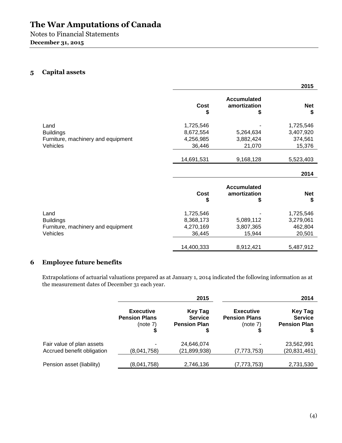Notes to Financial Statements **December 31, 2015**

# **5 Capital assets**

|                                    |            |                                          | 2015             |
|------------------------------------|------------|------------------------------------------|------------------|
|                                    | Cost<br>\$ | <b>Accumulated</b><br>amortization<br>\$ | <b>Net</b><br>\$ |
| Land                               | 1,725,546  |                                          | 1,725,546        |
| <b>Buildings</b>                   | 8,672,554  | 5,264,634                                | 3,407,920        |
| Furniture, machinery and equipment | 4,256,985  | 3,882,424                                | 374,561          |
| Vehicles                           | 36,446     | 21,070                                   | 15,376           |
|                                    | 14,691,531 | 9,168,128                                | 5,523,403        |
|                                    |            |                                          | 2014             |
|                                    | Cost<br>\$ | <b>Accumulated</b><br>amortization<br>\$ | <b>Net</b><br>\$ |
|                                    |            |                                          |                  |
| Land                               | 1,725,546  |                                          | 1,725,546        |
| <b>Buildings</b>                   | 8,368,173  | 5,089,112                                | 3,279,061        |
| Furniture, machinery and equipment | 4,270,169  | 3,807,365                                | 462,804          |
| Vehicles                           | 36,445     | 15,944                                   | 20,501           |
|                                    | 14,400,333 | 8,912,421                                | 5,487,912        |

# **6 Employee future benefits**

Extrapolations of actuarial valuations prepared as at January 1, 2014 indicated the following information as at the measurement dates of December 31 each year.

|                                                         |                                                      | 2015                                                    |                                                      | 2014                                             |
|---------------------------------------------------------|------------------------------------------------------|---------------------------------------------------------|------------------------------------------------------|--------------------------------------------------|
|                                                         | <b>Executive</b><br><b>Pension Plans</b><br>(note 7) | <b>Key Tag</b><br><b>Service</b><br><b>Pension Plan</b> | <b>Executive</b><br><b>Pension Plans</b><br>(note 7) | Key Tag<br><b>Service</b><br><b>Pension Plan</b> |
| Fair value of plan assets<br>Accrued benefit obligation | (8,041,758)                                          | 24,646,074<br>(21, 899, 938)                            | (7, 773, 753)                                        | 23,562,991<br>(20, 831, 461)                     |
| Pension asset (liability)                               | (8,041,758)                                          | 2,746,136                                               | (7, 773, 753)                                        | 2,731,530                                        |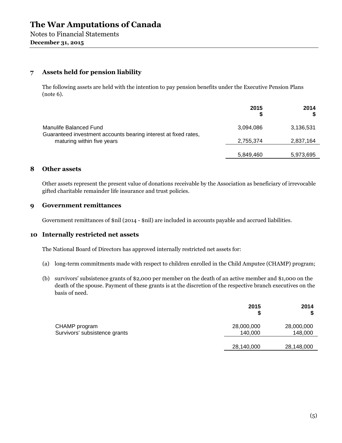### **7 Assets held for pension liability**

The following assets are held with the intention to pay pension benefits under the Executive Pension Plans (note 6).

|                                                                                           | 2015      | 2014<br>S |
|-------------------------------------------------------------------------------------------|-----------|-----------|
| Manulife Balanced Fund<br>Guaranteed investment accounts bearing interest at fixed rates, | 3,094,086 | 3,136,531 |
| maturing within five years                                                                | 2,755,374 | 2,837,164 |
|                                                                                           | 5,849,460 | 5,973,695 |

### **8 Other assets**

Other assets represent the present value of donations receivable by the Association as beneficiary of irrevocable gifted charitable remainder life insurance and trust policies.

#### **9 Government remittances**

Government remittances of \$nil (2014 - \$nil) are included in accounts payable and accrued liabilities.

#### **10 Internally restricted net assets**

The National Board of Directors has approved internally restricted net assets for:

- (a) long-term commitments made with respect to children enrolled in the Child Amputee (CHAMP) program;
- (b) survivors' subsistence grants of \$2,000 per member on the death of an active member and \$1,000 on the death of the spouse. Payment of these grants is at the discretion of the respective branch executives on the basis of need.

|                                                | 2015                  | 2014                  |
|------------------------------------------------|-----------------------|-----------------------|
| CHAMP program<br>Survivors' subsistence grants | 28,000,000<br>140,000 | 28,000,000<br>148,000 |
|                                                | 28,140,000            | 28,148,000            |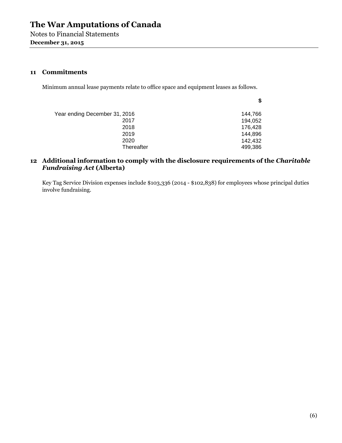### **11 Commitments**

Minimum annual lease payments relate to office space and equipment leases as follows.

| Year ending December 31, 2016 | 144.766 |
|-------------------------------|---------|
| 2017                          | 194.052 |
| 2018                          | 176,428 |
| 2019                          | 144.896 |
| 2020                          | 142,432 |
| Thereafter                    | 499,386 |

## **12 Additional information to comply with the disclosure requirements of the** *Charitable Fundraising Act* **(Alberta)**

Key Tag Service Division expenses include \$103,336 (2014 - \$102,838) for employees whose principal duties involve fundraising.

**\$**